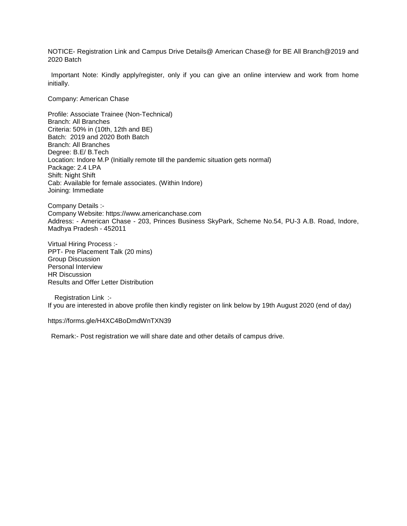NOTICE- Registration Link and Campus Drive Details@ American Chase@ for BE All Branch@2019 and 2020 Batch

Important Note: Kindly apply/register, only if you can give an online interview and work from home initially.

Company: American Chase

Profile: Associate Trainee (Non-Technical) Branch: All Branches Criteria: 50% in (10th, 12th and BE) Batch: 2019 and 2020 Both Batch Branch: All Branches Degree: B.E/ B.Tech Location: Indore M.P (Initially remote till the pandemic situation gets normal) Package: 2.4 LPA Shift: Night Shift Cab: Available for female associates. (Within Indore) Joining: Immediate

Company Details :- Company Website: https://www.americanchase.com Address: - American Chase - 203, Princes Business SkyPark, Scheme No.54, PU-3 A.B. Road, Indore, Madhya Pradesh - 452011

Virtual Hiring Process :- PPT- Pre Placement Talk (20 mins) Group Discussion Personal Interview HR Discussion Results and Offer Letter Distribution

Registration Link :- If you are interested in above profile then kindly register on link below by 19th August 2020 (end of day)

## https://forms.gle/H4XC4BoDmdWnTXN39

Remark:- Post registration we will share date and other details of campus drive.